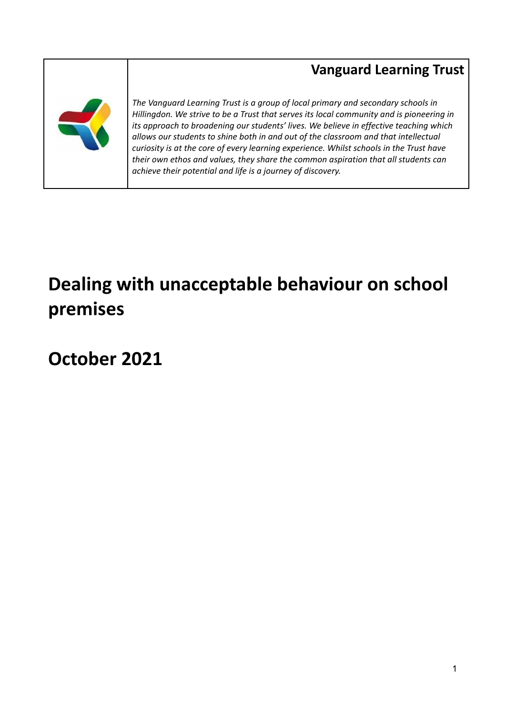# **Vanguard Learning Trust**



*The Vanguard Learning Trust is a group of local primary and secondary schools in Hillingdon. We strive to be a Trust that serves its local community and is pioneering in its approach to broadening our students' lives. We believe in effective teaching which allows our students to shine both in and out of the classroom and that intellectual curiosity is at the core of every learning experience. Whilst schools in the Trust have their own ethos and values, they share the common aspiration that all students can achieve their potential and life is a journey of discovery.*

# **Dealing with unacceptable behaviour on school premises**

**October 2021**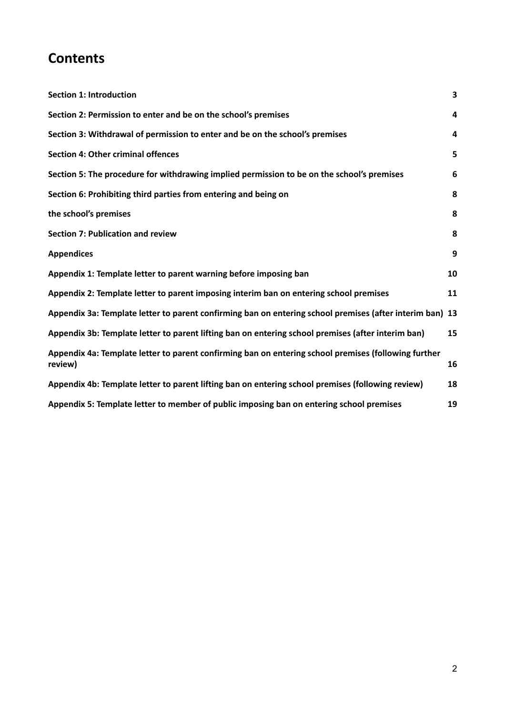# **Contents**

| <b>Section 1: Introduction</b>                                                                                  | 3  |
|-----------------------------------------------------------------------------------------------------------------|----|
| Section 2: Permission to enter and be on the school's premises                                                  | 4  |
| Section 3: Withdrawal of permission to enter and be on the school's premises                                    | 4  |
| <b>Section 4: Other criminal offences</b>                                                                       | 5  |
| Section 5: The procedure for withdrawing implied permission to be on the school's premises                      | 6  |
| Section 6: Prohibiting third parties from entering and being on                                                 | 8  |
| the school's premises                                                                                           | 8  |
| <b>Section 7: Publication and review</b>                                                                        | 8  |
| <b>Appendices</b>                                                                                               | 9  |
| Appendix 1: Template letter to parent warning before imposing ban                                               | 10 |
| Appendix 2: Template letter to parent imposing interim ban on entering school premises                          | 11 |
| Appendix 3a: Template letter to parent confirming ban on entering school premises (after interim ban) 13        |    |
| Appendix 3b: Template letter to parent lifting ban on entering school premises (after interim ban)              | 15 |
| Appendix 4a: Template letter to parent confirming ban on entering school premises (following further<br>review) | 16 |
| Appendix 4b: Template letter to parent lifting ban on entering school premises (following review)               | 18 |
| Appendix 5: Template letter to member of public imposing ban on entering school premises                        | 19 |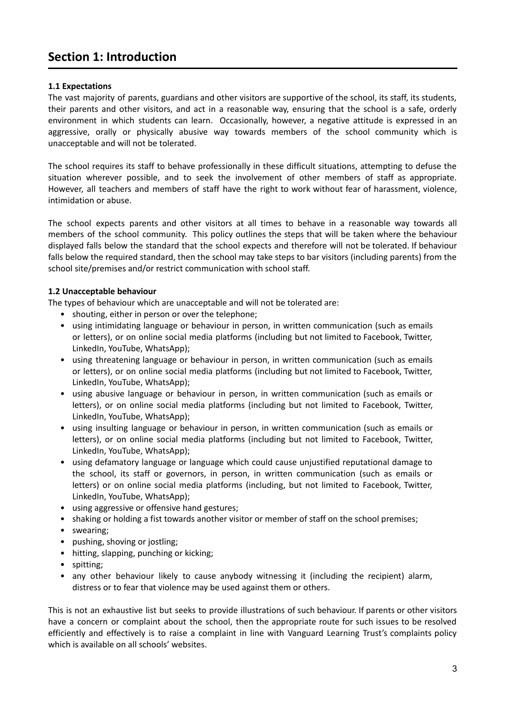### <span id="page-2-0"></span>**Section 1: Introduction**

### **1.1 Expectations**

The vast majority of parents, guardians and other visitors are supportive of the school, its staff, its students, their parents and other visitors, and act in a reasonable way, ensuring that the school is a safe, orderly environment in which students can learn. Occasionally, however, a negative attitude is expressed in an aggressive, orally or physically abusive way towards members of the school community which is unacceptable and will not be tolerated.

The school requires its staff to behave professionally in these difficult situations, attempting to defuse the situation wherever possible, and to seek the involvement of other members of staff as appropriate. However, all teachers and members of staff have the right to work without fear of harassment, violence, intimidation or abuse.

The school expects parents and other visitors at all times to behave in a reasonable way towards all members of the school community. This policy outlines the steps that will be taken where the behaviour displayed falls below the standard that the school expects and therefore will not be tolerated. If behaviour falls below the required standard, then the school may take steps to bar visitors (including parents) from the school site/premises and/or restrict communication with school staff.

### **1.2 Unacceptable behaviour**

The types of behaviour which are unacceptable and will not be tolerated are:

- shouting, either in person or over the telephone;
- using intimidating language or behaviour in person, in written communication (such as emails or letters), or on online social media platforms (including but not limited to Facebook, Twitter, LinkedIn, YouTube, WhatsApp);
- using threatening language or behaviour in person, in written communication (such as emails or letters), or on online social media platforms (including but not limited to Facebook, Twitter, LinkedIn, YouTube, WhatsApp);
- using abusive language or behaviour in person, in written communication (such as emails or letters), or on online social media platforms (including but not limited to Facebook, Twitter, LinkedIn, YouTube, WhatsApp);
- using insulting language or behaviour in person, in written communication (such as emails or letters), or on online social media platforms (including but not limited to Facebook, Twitter, LinkedIn, YouTube, WhatsApp);
- using defamatory language or language which could cause unjustified reputational damage to the school, its staff or governors, in person, in written communication (such as emails or letters) or on online social media platforms (including, but not limited to Facebook, Twitter, LinkedIn, YouTube, WhatsApp);
- using aggressive or offensive hand gestures;
- shaking or holding a fist towards another visitor or member of staff on the school premises;
- swearing;
- pushing, shoving or jostling;
- hitting, slapping, punching or kicking;
- spitting;
- any other behaviour likely to cause anybody witnessing it (including the recipient) alarm, distress or to fear that violence may be used against them or others.

This is not an exhaustive list but seeks to provide illustrations of such behaviour. If parents or other visitors have a concern or complaint about the school, then the appropriate route for such issues to be resolved efficiently and effectively is to raise a complaint in line with Vanguard Learning Trust's complaints policy which is available on all schools' websites.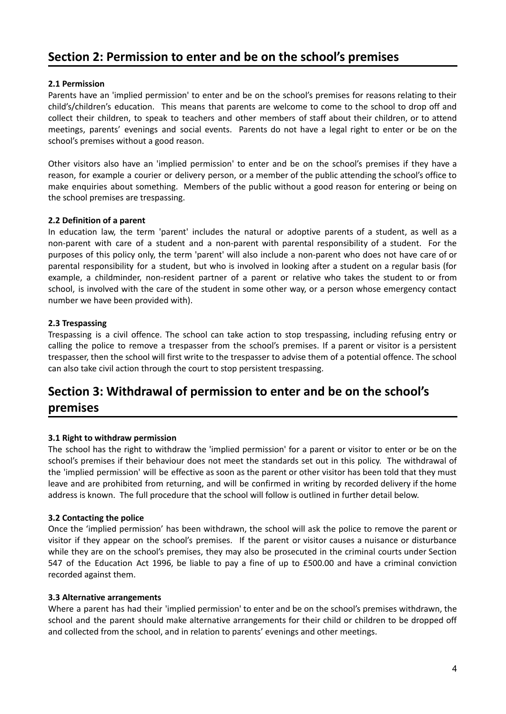### <span id="page-3-0"></span>**Section 2: Permission to enter and be on the school's premises**

### **2.1 Permission**

Parents have an 'implied permission' to enter and be on the school's premises for reasons relating to their child's/children's education. This means that parents are welcome to come to the school to drop off and collect their children, to speak to teachers and other members of staff about their children, or to attend meetings, parents' evenings and social events. Parents do not have a legal right to enter or be on the school's premises without a good reason.

Other visitors also have an 'implied permission' to enter and be on the school's premises if they have a reason, for example a courier or delivery person, or a member of the public attending the school's office to make enquiries about something. Members of the public without a good reason for entering or being on the school premises are trespassing.

### **2.2 Definition of a parent**

In education law, the term 'parent' includes the natural or adoptive parents of a student, as well as a non-parent with care of a student and a non-parent with parental responsibility of a student. For the purposes of this policy only, the term 'parent' will also include a non-parent who does not have care of or parental responsibility for a student, but who is involved in looking after a student on a regular basis (for example, a childminder, non-resident partner of a parent or relative who takes the student to or from school, is involved with the care of the student in some other way, or a person whose emergency contact number we have been provided with).

### **2.3 Trespassing**

Trespassing is a civil offence. The school can take action to stop trespassing, including refusing entry or calling the police to remove a trespasser from the school's premises. If a parent or visitor is a persistent trespasser, then the school will first write to the trespasser to advise them of a potential offence. The school can also take civil action through the court to stop persistent trespassing.

### <span id="page-3-1"></span>**Section 3: Withdrawal of permission to enter and be on the school's premises**

### **3.1 Right to withdraw permission**

The school has the right to withdraw the 'implied permission' for a parent or visitor to enter or be on the school's premises if their behaviour does not meet the standards set out in this policy. The withdrawal of the 'implied permission' will be effective as soon as the parent or other visitor has been told that they must leave and are prohibited from returning, and will be confirmed in writing by recorded delivery if the home address is known. The full procedure that the school will follow is outlined in further detail below.

#### **3.2 Contacting the police**

Once the 'implied permission' has been withdrawn, the school will ask the police to remove the parent or visitor if they appear on the school's premises. If the parent or visitor causes a nuisance or disturbance while they are on the school's premises, they may also be prosecuted in the criminal courts under Section 547 of the Education Act 1996, be liable to pay a fine of up to £500.00 and have a criminal conviction recorded against them.

#### **3.3 Alternative arrangements**

Where a parent has had their 'implied permission' to enter and be on the school's premises withdrawn, the school and the parent should make alternative arrangements for their child or children to be dropped off and collected from the school, and in relation to parents' evenings and other meetings.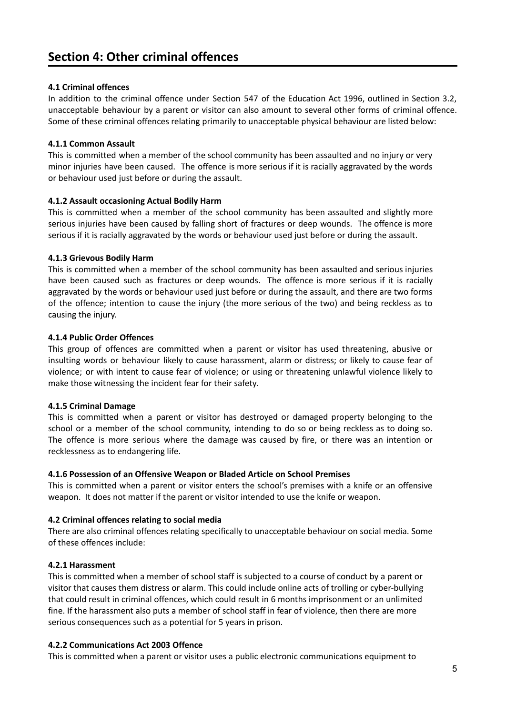### <span id="page-4-0"></span>**4.1 Criminal offences**

In addition to the criminal offence under Section 547 of the Education Act 1996, outlined in Section 3.2, unacceptable behaviour by a parent or visitor can also amount to several other forms of criminal offence. Some of these criminal offences relating primarily to unacceptable physical behaviour are listed below:

### **4.1.1 Common Assault**

This is committed when a member of the school community has been assaulted and no injury or very minor injuries have been caused. The offence is more serious if it is racially aggravated by the words or behaviour used just before or during the assault.

### **4.1.2 Assault occasioning Actual Bodily Harm**

This is committed when a member of the school community has been assaulted and slightly more serious injuries have been caused by falling short of fractures or deep wounds. The offence is more serious if it is racially aggravated by the words or behaviour used just before or during the assault.

### **4.1.3 Grievous Bodily Harm**

This is committed when a member of the school community has been assaulted and serious injuries have been caused such as fractures or deep wounds. The offence is more serious if it is racially aggravated by the words or behaviour used just before or during the assault, and there are two forms of the offence; intention to cause the injury (the more serious of the two) and being reckless as to causing the injury.

### **4.1.4 Public Order Offences**

This group of offences are committed when a parent or visitor has used threatening, abusive or insulting words or behaviour likely to cause harassment, alarm or distress; or likely to cause fear of violence; or with intent to cause fear of violence; or using or threatening unlawful violence likely to make those witnessing the incident fear for their safety.

### **4.1.5 Criminal Damage**

This is committed when a parent or visitor has destroyed or damaged property belonging to the school or a member of the school community, intending to do so or being reckless as to doing so. The offence is more serious where the damage was caused by fire, or there was an intention or recklessness as to endangering life.

#### **4.1.6 Possession of an Offensive Weapon or Bladed Article on School Premises**

This is committed when a parent or visitor enters the school's premises with a knife or an offensive weapon. It does not matter if the parent or visitor intended to use the knife or weapon.

### **4.2 Criminal offences relating to social media**

There are also criminal offences relating specifically to unacceptable behaviour on social media. Some of these offences include:

### **4.2.1 Harassment**

This is committed when a member of school staff is subjected to a course of conduct by a parent or visitor that causes them distress or alarm. This could include online acts of trolling or cyber-bullying that could result in criminal offences, which could result in 6 months imprisonment or an unlimited fine. If the harassment also puts a member of school staff in fear of violence, then there are more serious consequences such as a potential for 5 years in prison.

#### **4.2.2 Communications Act 2003 Offence**

This is committed when a parent or visitor uses a public electronic communications equipment to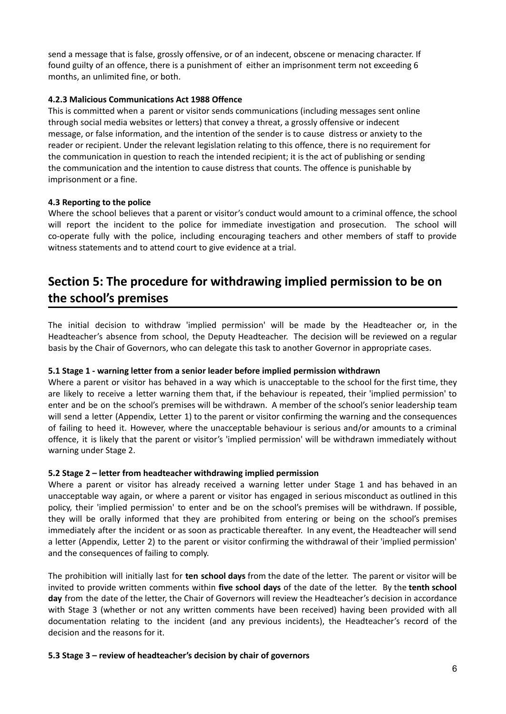send a message that is false, grossly offensive, or of an indecent, obscene or menacing character. If found guilty of an offence, there is a punishment of either an imprisonment term not exceeding 6 months, an unlimited fine, or both.

### **4.2.3 Malicious Communications Act 1988 Offence**

This is committed when a parent or visitor sends communications (including messages sent online through social media websites or letters) that convey a threat, a grossly offensive or indecent message, or false information, and the intention of the sender is to cause distress or anxiety to the reader or recipient. Under the relevant legislation relating to this offence, there is no requirement for the communication in question to reach the intended recipient; it is the act of publishing or sending the communication and the intention to cause distress that counts. The offence is punishable by imprisonment or a fine.

### **4.3 Reporting to the police**

Where the school believes that a parent or visitor's conduct would amount to a criminal offence, the school will report the incident to the police for immediate investigation and prosecution. The school will co-operate fully with the police, including encouraging teachers and other members of staff to provide witness statements and to attend court to give evidence at a trial.

### <span id="page-5-0"></span>**Section 5: The procedure for withdrawing implied permission to be on the school's premises**

The initial decision to withdraw 'implied permission' will be made by the Headteacher or, in the Headteacher's absence from school, the Deputy Headteacher. The decision will be reviewed on a regular basis by the Chair of Governors, who can delegate this task to another Governor in appropriate cases.

#### **5.1 Stage 1 - warning letter from a senior leader before implied permission withdrawn**

Where a parent or visitor has behaved in a way which is unacceptable to the school for the first time, they are likely to receive a letter warning them that, if the behaviour is repeated, their 'implied permission' to enter and be on the school's premises will be withdrawn. A member of the school's senior leadership team will send a letter (Appendix, Letter 1) to the parent or visitor confirming the warning and the consequences of failing to heed it. However, where the unacceptable behaviour is serious and/or amounts to a criminal offence, it is likely that the parent or visitor's 'implied permission' will be withdrawn immediately without warning under Stage 2.

#### **5.2 Stage 2 – letter from headteacher withdrawing implied permission**

Where a parent or visitor has already received a warning letter under Stage 1 and has behaved in an unacceptable way again, or where a parent or visitor has engaged in serious misconduct as outlined in this policy, their 'implied permission' to enter and be on the school's premises will be withdrawn. If possible, they will be orally informed that they are prohibited from entering or being on the school's premises immediately after the incident or as soon as practicable thereafter. In any event, the Headteacher will send a letter (Appendix, Letter 2) to the parent or visitor confirming the withdrawal of their 'implied permission' and the consequences of failing to comply.

The prohibition will initially last for **ten school days** from the date of the letter. The parent or visitor will be invited to provide written comments within **five school days** of the date of the letter. By the **tenth school day** from the date of the letter, the Chair of Governors will review the Headteacher's decision in accordance with Stage 3 (whether or not any written comments have been received) having been provided with all documentation relating to the incident (and any previous incidents), the Headteacher's record of the decision and the reasons for it.

#### **5.3 Stage 3 – review of headteacher's decision by chair of governors**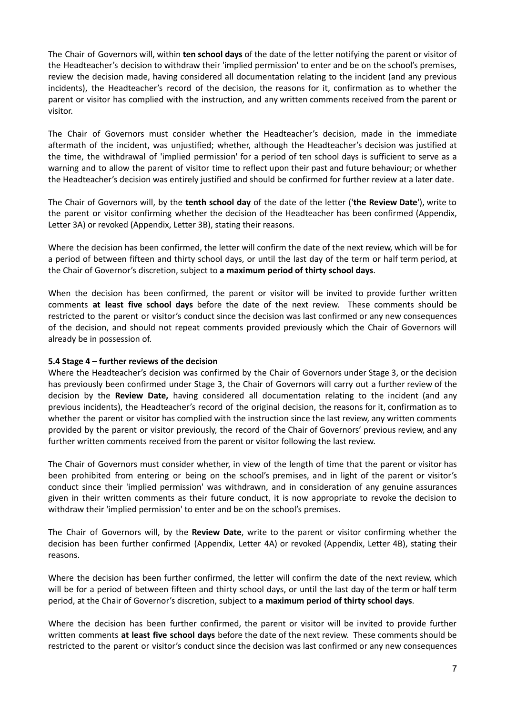The Chair of Governors will, within **ten school days** of the date of the letter notifying the parent or visitor of the Headteacher's decision to withdraw their 'implied permission' to enter and be on the school's premises, review the decision made, having considered all documentation relating to the incident (and any previous incidents), the Headteacher's record of the decision, the reasons for it, confirmation as to whether the parent or visitor has complied with the instruction, and any written comments received from the parent or visitor.

The Chair of Governors must consider whether the Headteacher's decision, made in the immediate aftermath of the incident, was unjustified; whether, although the Headteacher's decision was justified at the time, the withdrawal of 'implied permission' for a period of ten school days is sufficient to serve as a warning and to allow the parent of visitor time to reflect upon their past and future behaviour; or whether the Headteacher's decision was entirely justified and should be confirmed for further review at a later date.

The Chair of Governors will, by the **tenth school day** of the date of the letter ('**the Review Date**'), write to the parent or visitor confirming whether the decision of the Headteacher has been confirmed (Appendix, Letter 3A) or revoked (Appendix, Letter 3B), stating their reasons.

Where the decision has been confirmed, the letter will confirm the date of the next review, which will be for a period of between fifteen and thirty school days, or until the last day of the term or half term period, at the Chair of Governor's discretion, subject to **a maximum period of thirty school days**.

When the decision has been confirmed, the parent or visitor will be invited to provide further written comments **at least five school days** before the date of the next review. These comments should be restricted to the parent or visitor's conduct since the decision was last confirmed or any new consequences of the decision, and should not repeat comments provided previously which the Chair of Governors will already be in possession of.

#### **5.4 Stage 4 – further reviews of the decision**

Where the Headteacher's decision was confirmed by the Chair of Governors under Stage 3, or the decision has previously been confirmed under Stage 3, the Chair of Governors will carry out a further review of the decision by the **Review Date,** having considered all documentation relating to the incident (and any previous incidents), the Headteacher's record of the original decision, the reasons for it, confirmation as to whether the parent or visitor has complied with the instruction since the last review, any written comments provided by the parent or visitor previously, the record of the Chair of Governors' previous review, and any further written comments received from the parent or visitor following the last review.

The Chair of Governors must consider whether, in view of the length of time that the parent or visitor has been prohibited from entering or being on the school's premises, and in light of the parent or visitor's conduct since their 'implied permission' was withdrawn, and in consideration of any genuine assurances given in their written comments as their future conduct, it is now appropriate to revoke the decision to withdraw their 'implied permission' to enter and be on the school's premises.

The Chair of Governors will, by the **Review Date**, write to the parent or visitor confirming whether the decision has been further confirmed (Appendix, Letter 4A) or revoked (Appendix, Letter 4B), stating their reasons.

Where the decision has been further confirmed, the letter will confirm the date of the next review, which will be for a period of between fifteen and thirty school days, or until the last day of the term or half term period, at the Chair of Governor's discretion, subject to **a maximum period of thirty school days**.

Where the decision has been further confirmed, the parent or visitor will be invited to provide further written comments **at least five school days** before the date of the next review. These comments should be restricted to the parent or visitor's conduct since the decision was last confirmed or any new consequences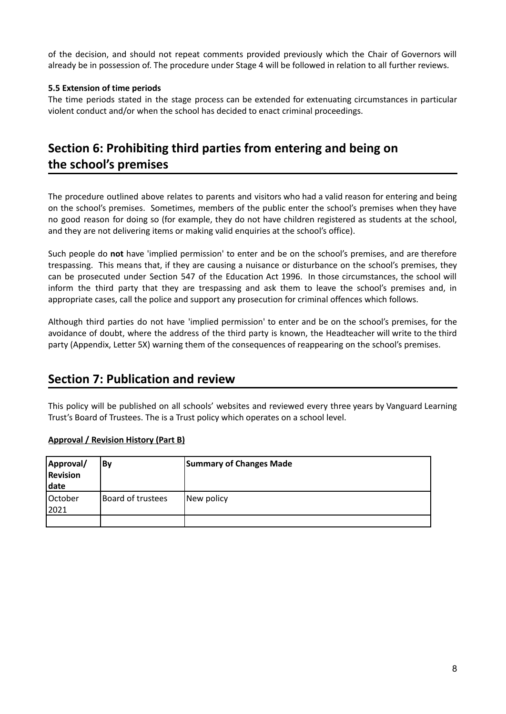of the decision, and should not repeat comments provided previously which the Chair of Governors will already be in possession of. The procedure under Stage 4 will be followed in relation to all further reviews.

### **5.5 Extension of time periods**

The time periods stated in the stage process can be extended for extenuating circumstances in particular violent conduct and/or when the school has decided to enact criminal proceedings.

### <span id="page-7-1"></span><span id="page-7-0"></span>**Section 6: Prohibiting third parties from entering and being on the school's premises**

The procedure outlined above relates to parents and visitors who had a valid reason for entering and being on the school's premises. Sometimes, members of the public enter the school's premises when they have no good reason for doing so (for example, they do not have children registered as students at the school, and they are not delivering items or making valid enquiries at the school's office).

Such people do **not** have 'implied permission' to enter and be on the school's premises, and are therefore trespassing. This means that, if they are causing a nuisance or disturbance on the school's premises, they can be prosecuted under Section 547 of the Education Act 1996. In those circumstances, the school will inform the third party that they are trespassing and ask them to leave the school's premises and, in appropriate cases, call the police and support any prosecution for criminal offences which follows.

Although third parties do not have 'implied permission' to enter and be on the school's premises, for the avoidance of doubt, where the address of the third party is known, the Headteacher will write to the third party (Appendix, Letter 5X) warning them of the consequences of reappearing on the school's premises.

### <span id="page-7-2"></span>**Section 7: Publication and review**

This policy will be published on all schools' websites and reviewed every three years by Vanguard Learning Trust's Board of Trustees. The is a Trust policy which operates on a school level.

### **Approval / Revision History (Part B)**

| Approval/<br>Revision<br>date | <b>By</b>         | <b>Summary of Changes Made</b> |
|-------------------------------|-------------------|--------------------------------|
| October<br>2021               | Board of trustees | New policy                     |
|                               |                   |                                |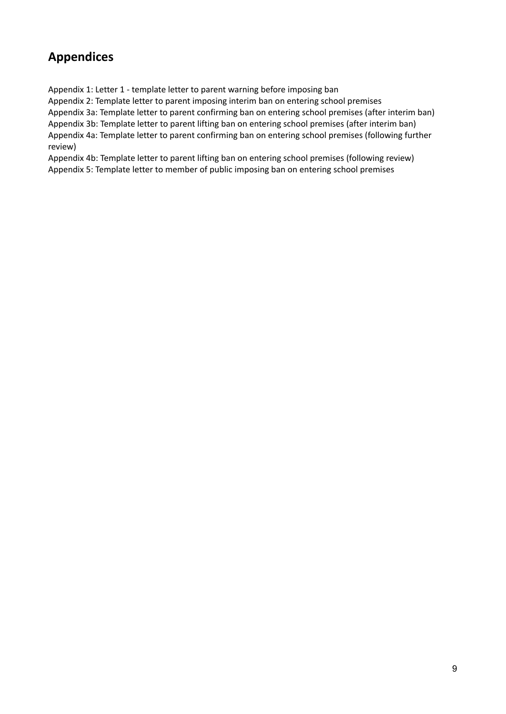### <span id="page-8-0"></span>**Appendices**

Appendix 1: Letter 1 - template letter to parent warning before imposing ban

Appendix 2: Template letter to parent imposing interim ban on entering school premises

Appendix 3a: Template letter to parent confirming ban on entering school premises (after interim ban)

Appendix 3b: Template letter to parent lifting ban on entering school premises (after interim ban) Appendix 4a: Template letter to parent confirming ban on entering school premises (following further review)

Appendix 4b: Template letter to parent lifting ban on entering school premises (following review) Appendix 5: Template letter to member of public imposing ban on entering school premises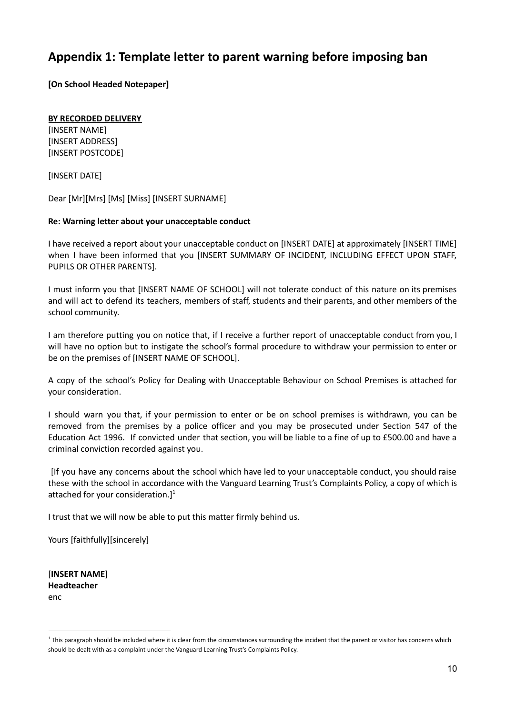### <span id="page-9-0"></span>**Appendix 1: Template letter to parent warning before imposing ban**

**[On School Headed Notepaper]**

### **BY RECORDED DELIVERY**

[INSERT NAME] [INSERT ADDRESS] [INSERT POSTCODE]

[INSERT DATE]

Dear [Mr][Mrs] [Ms] [Miss] [INSERT SURNAME]

### **Re: Warning letter about your unacceptable conduct**

I have received a report about your unacceptable conduct on [INSERT DATE] at approximately [INSERT TIME] when I have been informed that you [INSERT SUMMARY OF INCIDENT, INCLUDING EFFECT UPON STAFF, PUPILS OR OTHER PARENTS].

I must inform you that [INSERT NAME OF SCHOOL] will not tolerate conduct of this nature on its premises and will act to defend its teachers, members of staff, students and their parents, and other members of the school community.

I am therefore putting you on notice that, if I receive a further report of unacceptable conduct from you, I will have no option but to instigate the school's formal procedure to withdraw your permission to enter or be on the premises of [INSERT NAME OF SCHOOL].

A copy of the school's Policy for Dealing with Unacceptable Behaviour on School Premises is attached for your consideration.

I should warn you that, if your permission to enter or be on school premises is withdrawn, you can be removed from the premises by a police officer and you may be prosecuted under Section 547 of the Education Act 1996. If convicted under that section, you will be liable to a fine of up to £500.00 and have a criminal conviction recorded against you.

[If you have any concerns about the school which have led to your unacceptable conduct, you should raise these with the school in accordance with the Vanguard Learning Trust's Complaints Policy, a copy of which is attached for your consideration.]<sup>1</sup>

I trust that we will now be able to put this matter firmly behind us.

Yours [faithfully][sincerely]

[**INSERT NAME**] **Headteacher** enc

<sup>&</sup>lt;sup>1</sup> This paragraph should be included where it is clear from the circumstances surrounding the incident that the parent or visitor has concerns which should be dealt with as a complaint under the Vanguard Learning Trust's Complaints Policy.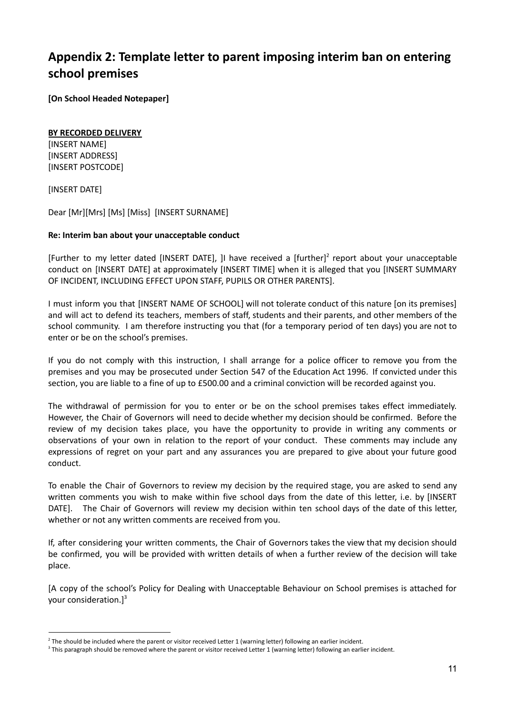### <span id="page-10-0"></span>**Appendix 2: Template letter to parent imposing interim ban on entering school premises**

**[On School Headed Notepaper]**

#### **BY RECORDED DELIVERY**

[INSERT NAME] [INSERT ADDRESS] [INSERT POSTCODE]

[INSERT DATE]

Dear [Mr][Mrs] [Ms] [Miss] [INSERT SURNAME]

### **Re: Interim ban about your unacceptable conduct**

[Further to my letter dated [INSERT DATE], ]I have received a [further]<sup>2</sup> report about your unacceptable conduct on [INSERT DATE] at approximately [INSERT TIME] when it is alleged that you [INSERT SUMMARY OF INCIDENT, INCLUDING EFFECT UPON STAFF, PUPILS OR OTHER PARENTS].

I must inform you that [INSERT NAME OF SCHOOL] will not tolerate conduct of this nature [on its premises] and will act to defend its teachers, members of staff, students and their parents, and other members of the school community. I am therefore instructing you that (for a temporary period of ten days) you are not to enter or be on the school's premises.

If you do not comply with this instruction, I shall arrange for a police officer to remove you from the premises and you may be prosecuted under Section 547 of the Education Act 1996. If convicted under this section, you are liable to a fine of up to £500.00 and a criminal conviction will be recorded against you.

The withdrawal of permission for you to enter or be on the school premises takes effect immediately. However, the Chair of Governors will need to decide whether my decision should be confirmed. Before the review of my decision takes place, you have the opportunity to provide in writing any comments or observations of your own in relation to the report of your conduct. These comments may include any expressions of regret on your part and any assurances you are prepared to give about your future good conduct.

To enable the Chair of Governors to review my decision by the required stage, you are asked to send any written comments you wish to make within five school days from the date of this letter, i.e. by [INSERT DATE]. The Chair of Governors will review my decision within ten school days of the date of this letter, whether or not any written comments are received from you.

If, after considering your written comments, the Chair of Governors takes the view that my decision should be confirmed, you will be provided with written details of when a further review of the decision will take place.

[A copy of the school's Policy for Dealing with Unacceptable Behaviour on School premises is attached for your consideration.] 3

 $2$  The should be included where the parent or visitor received Letter 1 (warning letter) following an earlier incident.

<sup>&</sup>lt;sup>3</sup> This paragraph should be removed where the parent or visitor received Letter 1 (warning letter) following an earlier incident.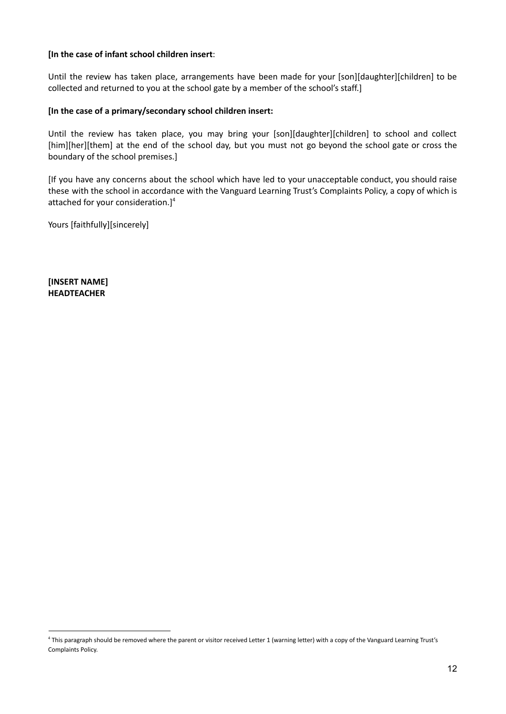### **[In the case of infant school children insert**:

Until the review has taken place, arrangements have been made for your [son][daughter][children] to be collected and returned to you at the school gate by a member of the school's staff.]

#### **[In the case of a primary/secondary school children insert:**

Until the review has taken place, you may bring your [son][daughter][children] to school and collect [him][her][them] at the end of the school day, but you must not go beyond the school gate or cross the boundary of the school premises.]

[If you have any concerns about the school which have led to your unacceptable conduct, you should raise these with the school in accordance with the Vanguard Learning Trust's Complaints Policy, a copy of which is attached for your consideration.] 4

Yours [faithfully][sincerely]

**[INSERT NAME] HEADTEACHER**

<sup>4</sup> This paragraph should be removed where the parent or visitor received Letter 1 (warning letter) with a copy of the Vanguard Learning Trust's Complaints Policy.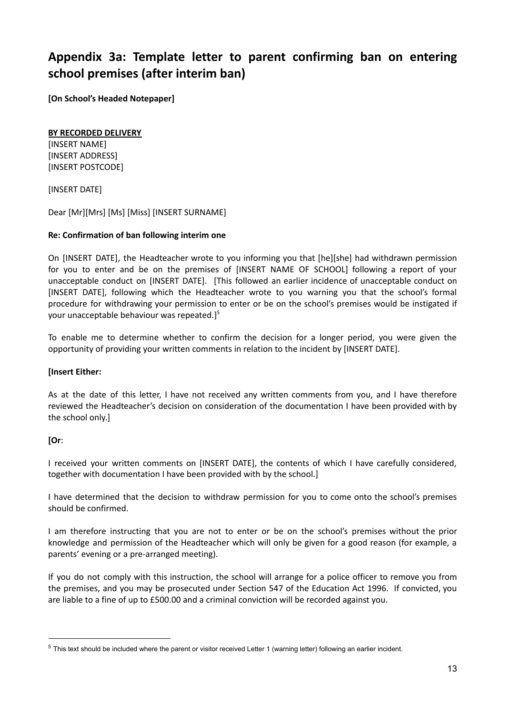### <span id="page-12-0"></span>**Appendix 3a: Template letter to parent confirming ban on entering school premises (after interim ban)**

**[On School's Headed Notepaper]**

### **BY RECORDED DELIVERY**

[INSERT NAME] [INSERT ADDRESS] [INSERT POSTCODE]

[INSERT DATE]

Dear [Mr][Mrs] [Ms] [Miss] [INSERT SURNAME]

### **Re: Confirmation of ban following interim one**

On [INSERT DATE], the Headteacher wrote to you informing you that [he][she] had withdrawn permission for you to enter and be on the premises of [INSERT NAME OF SCHOOL] following a report of your unacceptable conduct on [INSERT DATE]. [This followed an earlier incidence of unacceptable conduct on [INSERT DATE], following which the Headteacher wrote to you warning you that the school's formal procedure for withdrawing your permission to enter or be on the school's premises would be instigated if your unacceptable behaviour was repeated.]<sup>5</sup>

To enable me to determine whether to confirm the decision for a longer period, you were given the opportunity of providing your written comments in relation to the incident by [INSERT DATE].

#### **[Insert Either:**

As at the date of this letter, I have not received any written comments from you, and I have therefore reviewed the Headteacher's decision on consideration of the documentation I have been provided with by the school only.]

### **[Or**:

I received your written comments on [INSERT DATE], the contents of which I have carefully considered, together with documentation I have been provided with by the school.]

I have determined that the decision to withdraw permission for you to come onto the school's premises should be confirmed.

I am therefore instructing that you are not to enter or be on the school's premises without the prior knowledge and permission of the Headteacher which will only be given for a good reason (for example, a parents' evening or a pre-arranged meeting).

If you do not comply with this instruction, the school will arrange for a police officer to remove you from the premises, and you may be prosecuted under Section 547 of the Education Act 1996. If convicted, you are liable to a fine of up to £500.00 and a criminal conviction will be recorded against you.

 $5$  This text should be included where the parent or visitor received Letter 1 (warning letter) following an earlier incident.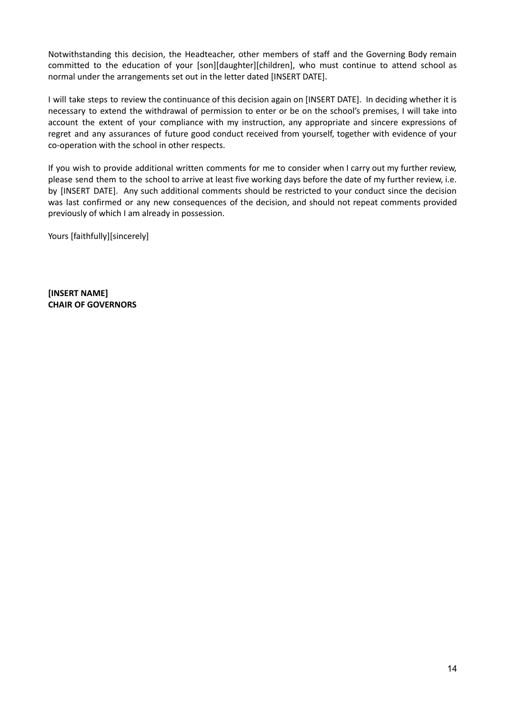Notwithstanding this decision, the Headteacher, other members of staff and the Governing Body remain committed to the education of your [son][daughter][children], who must continue to attend school as normal under the arrangements set out in the letter dated [INSERT DATE].

I will take steps to review the continuance of this decision again on [INSERT DATE]. In deciding whether it is necessary to extend the withdrawal of permission to enter or be on the school's premises, I will take into account the extent of your compliance with my instruction, any appropriate and sincere expressions of regret and any assurances of future good conduct received from yourself, together with evidence of your co-operation with the school in other respects.

If you wish to provide additional written comments for me to consider when I carry out my further review, please send them to the school to arrive at least five working days before the date of my further review, i.e. by [INSERT DATE]. Any such additional comments should be restricted to your conduct since the decision was last confirmed or any new consequences of the decision, and should not repeat comments provided previously of which I am already in possession.

Yours [faithfully][sincerely]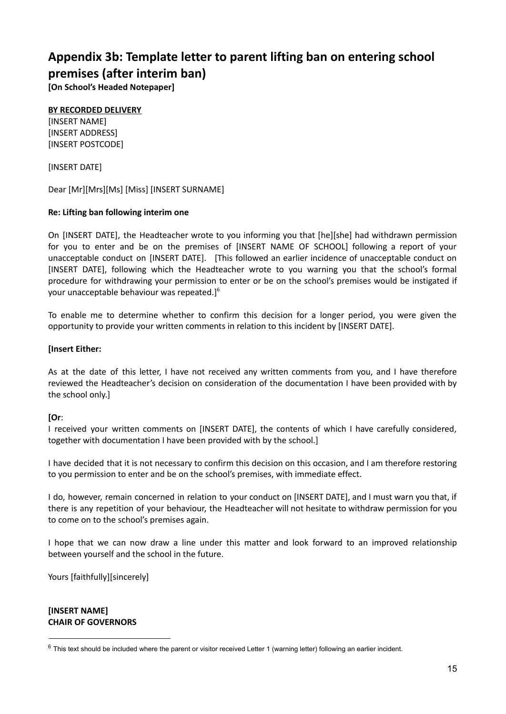### <span id="page-14-0"></span>**Appendix 3b: Template letter to parent lifting ban on entering school premises (after interim ban)**

**[On School's Headed Notepaper]**

### **BY RECORDED DELIVERY**

[INSERT NAME] [INSERT ADDRESS] [INSERT POSTCODE]

[INSERT DATE]

Dear [Mr][Mrs][Ms] [Miss] [INSERT SURNAME]

### **Re: Lifting ban following interim one**

On [INSERT DATE], the Headteacher wrote to you informing you that [he][she] had withdrawn permission for you to enter and be on the premises of [INSERT NAME OF SCHOOL] following a report of your unacceptable conduct on [INSERT DATE]. [This followed an earlier incidence of unacceptable conduct on [INSERT DATE], following which the Headteacher wrote to you warning you that the school's formal procedure for withdrawing your permission to enter or be on the school's premises would be instigated if your unacceptable behaviour was repeated.]<sup>6</sup>

To enable me to determine whether to confirm this decision for a longer period, you were given the opportunity to provide your written comments in relation to this incident by [INSERT DATE].

### **[Insert Either:**

As at the date of this letter, I have not received any written comments from you, and I have therefore reviewed the Headteacher's decision on consideration of the documentation I have been provided with by the school only.]

### **[Or**:

I received your written comments on [INSERT DATE], the contents of which I have carefully considered, together with documentation I have been provided with by the school.]

I have decided that it is not necessary to confirm this decision on this occasion, and I am therefore restoring to you permission to enter and be on the school's premises, with immediate effect.

I do, however, remain concerned in relation to your conduct on [INSERT DATE], and I must warn you that, if there is any repetition of your behaviour, the Headteacher will not hesitate to withdraw permission for you to come on to the school's premises again.

I hope that we can now draw a line under this matter and look forward to an improved relationship between yourself and the school in the future.

Yours [faithfully][sincerely]

 $6$  This text should be included where the parent or visitor received Letter 1 (warning letter) following an earlier incident.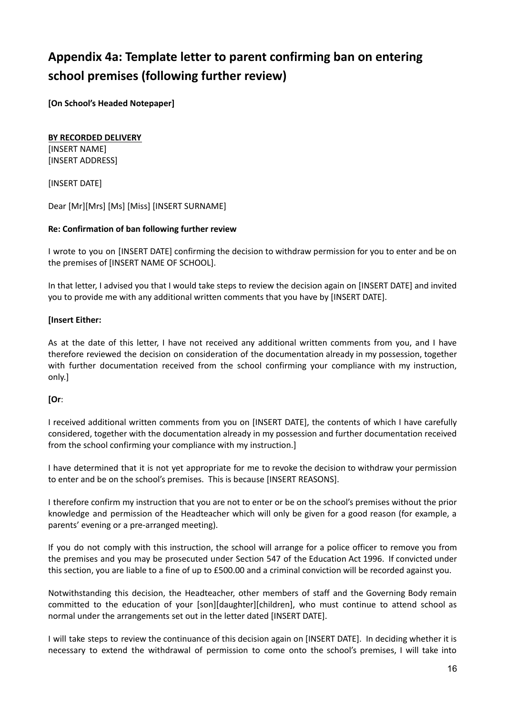# <span id="page-15-0"></span>**Appendix 4a: Template letter to parent confirming ban on entering school premises (following further review)**

**[On School's Headed Notepaper]**

### **BY RECORDED DELIVERY**

[INSERT NAME] [INSERT ADDRESS]

[INSERT DATE]

Dear [Mr][Mrs] [Ms] [Miss] [INSERT SURNAME]

### **Re: Confirmation of ban following further review**

I wrote to you on [INSERT DATE] confirming the decision to withdraw permission for you to enter and be on the premises of [INSERT NAME OF SCHOOL].

In that letter, I advised you that I would take steps to review the decision again on [INSERT DATE] and invited you to provide me with any additional written comments that you have by [INSERT DATE].

### **[Insert Either:**

As at the date of this letter, I have not received any additional written comments from you, and I have therefore reviewed the decision on consideration of the documentation already in my possession, together with further documentation received from the school confirming your compliance with my instruction, only.]

#### **[Or**:

I received additional written comments from you on [INSERT DATE], the contents of which I have carefully considered, together with the documentation already in my possession and further documentation received from the school confirming your compliance with my instruction.]

I have determined that it is not yet appropriate for me to revoke the decision to withdraw your permission to enter and be on the school's premises. This is because [INSERT REASONS].

I therefore confirm my instruction that you are not to enter or be on the school's premises without the prior knowledge and permission of the Headteacher which will only be given for a good reason (for example, a parents' evening or a pre-arranged meeting).

If you do not comply with this instruction, the school will arrange for a police officer to remove you from the premises and you may be prosecuted under Section 547 of the Education Act 1996. If convicted under this section, you are liable to a fine of up to £500.00 and a criminal conviction will be recorded against you.

Notwithstanding this decision, the Headteacher, other members of staff and the Governing Body remain committed to the education of your [son][daughter][children], who must continue to attend school as normal under the arrangements set out in the letter dated [INSERT DATE].

I will take steps to review the continuance of this decision again on [INSERT DATE]. In deciding whether it is necessary to extend the withdrawal of permission to come onto the school's premises, I will take into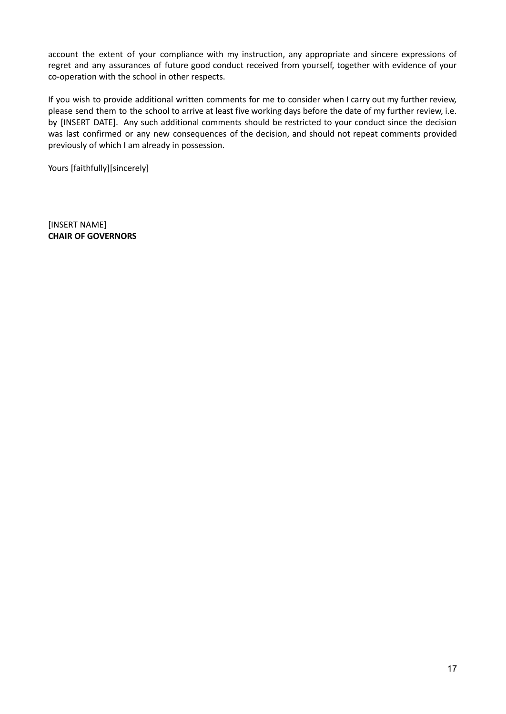account the extent of your compliance with my instruction, any appropriate and sincere expressions of regret and any assurances of future good conduct received from yourself, together with evidence of your co-operation with the school in other respects.

If you wish to provide additional written comments for me to consider when I carry out my further review, please send them to the school to arrive at least five working days before the date of my further review, i.e. by [INSERT DATE]. Any such additional comments should be restricted to your conduct since the decision was last confirmed or any new consequences of the decision, and should not repeat comments provided previously of which I am already in possession.

Yours [faithfully][sincerely]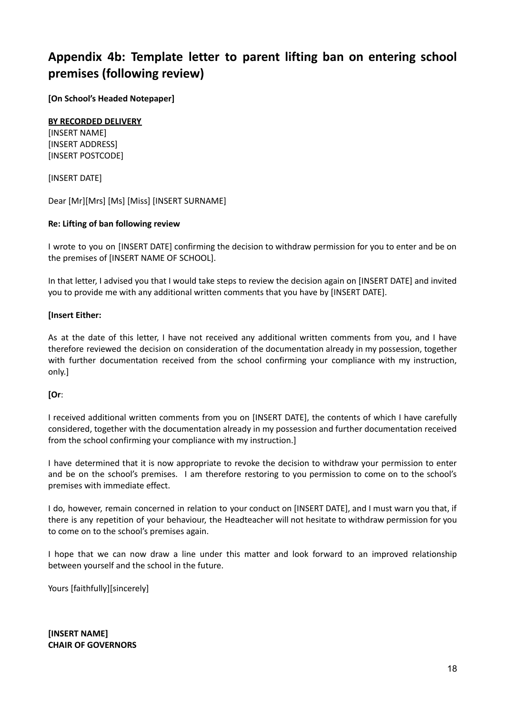### <span id="page-17-0"></span>**Appendix 4b: Template letter to parent lifting ban on entering school premises (following review)**

**[On School's Headed Notepaper]**

### **BY RECORDED DELIVERY**

[INSERT NAME] [INSERT ADDRESS] [INSERT POSTCODE]

[INSERT DATE]

Dear [Mr][Mrs] [Ms] [Miss] [INSERT SURNAME]

### **Re: Lifting of ban following review**

I wrote to you on [INSERT DATE] confirming the decision to withdraw permission for you to enter and be on the premises of [INSERT NAME OF SCHOOL].

In that letter, I advised you that I would take steps to review the decision again on [INSERT DATE] and invited you to provide me with any additional written comments that you have by [INSERT DATE].

### **[Insert Either:**

As at the date of this letter, I have not received any additional written comments from you, and I have therefore reviewed the decision on consideration of the documentation already in my possession, together with further documentation received from the school confirming your compliance with my instruction, only.]

### **[Or**:

I received additional written comments from you on [INSERT DATE], the contents of which I have carefully considered, together with the documentation already in my possession and further documentation received from the school confirming your compliance with my instruction.]

I have determined that it is now appropriate to revoke the decision to withdraw your permission to enter and be on the school's premises. I am therefore restoring to you permission to come on to the school's premises with immediate effect.

I do, however, remain concerned in relation to your conduct on [INSERT DATE], and I must warn you that, if there is any repetition of your behaviour, the Headteacher will not hesitate to withdraw permission for you to come on to the school's premises again.

I hope that we can now draw a line under this matter and look forward to an improved relationship between yourself and the school in the future.

Yours [faithfully][sincerely]